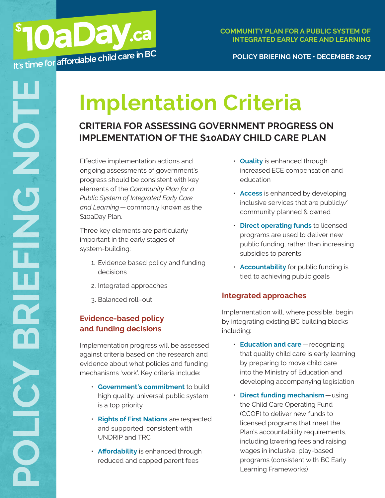#### **POLICY BRIEFING NOTE • DECEMBER 2017**

# **Implentation Criteria**

# **CRITERIA FOR ASSESSING GOVERNMENT PROGRESS ON IMPLEMENTATION OF THE \$10ADAY CHILD CARE PLAN**

Effective implementation actions and ongoing assessments of government's progress should be consistent with key elements of the *Community Plan for a Public System of Integrated Early Care and Learning*—commonly known as the \$10aDay Plan.

Three key elements are particularly important in the early stages of system-building:

- 1. Evidence based policy and funding decisions
- 2. Integrated approaches
- 3. Balanced roll–out

## **Evidence-based policy and funding decisions**

Implementation progress will be assessed against criteria based on the research and evidence about what policies and funding mechanisms 'work'. Key criteria include:

- **Government's commitment** to build high quality, universal public system is a top priority
- **Rights of First Nations** are respected and supported, consistent with UNDRIP and TRC
- **Affordability** is enhanced through reduced and capped parent fees
- **Quality** is enhanced through increased ECE compensation and education
- **Access** is enhanced by developing inclusive services that are publicly/ community planned & owned
- **Direct operating funds** to licensed programs are used to deliver new public funding, rather than increasing subsidies to parents
- **Accountability** for public funding is tied to achieving public goals

## **Integrated approaches**

Implementation will, where possible, begin by integrating existing BC building blocks including:

- **Education and care**—recognizing that quality child care is early learning by preparing to move child care into the Ministry of Education and developing accompanying legislation
- **Direct funding mechanism**—using the Child Care Operating Fund (CCOF) to deliver new funds to licensed programs that meet the Plan's accountability requirements, including lowering fees and raising wages in inclusive, play-based programs (consistent with BC Early Learning Frameworks)